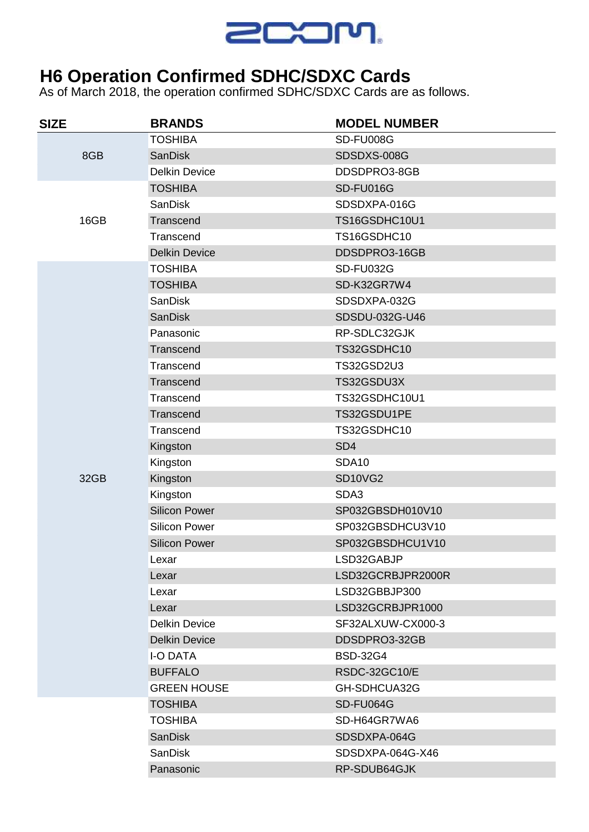

## **H6 Operation Confirmed SDHC/SDXC Cards**

As of March 2018, the operation confirmed SDHC/SDXC Cards are as follows.

| <b>SIZE</b> | <b>BRANDS</b>        | <b>MODEL NUMBER</b> |
|-------------|----------------------|---------------------|
| 8GB         | <b>TOSHIBA</b>       | SD-FU008G           |
|             | <b>SanDisk</b>       | SDSDXS-008G         |
|             | <b>Delkin Device</b> | DDSDPRO3-8GB        |
| 16GB        | <b>TOSHIBA</b>       | SD-FU016G           |
|             | <b>SanDisk</b>       | SDSDXPA-016G        |
|             | Transcend            | TS16GSDHC10U1       |
|             | Transcend            | TS16GSDHC10         |
|             | <b>Delkin Device</b> | DDSDPRO3-16GB       |
|             | <b>TOSHIBA</b>       | <b>SD-FU032G</b>    |
|             | <b>TOSHIBA</b>       | SD-K32GR7W4         |
|             | <b>SanDisk</b>       | SDSDXPA-032G        |
|             | <b>SanDisk</b>       | SDSDU-032G-U46      |
|             | Panasonic            | RP-SDLC32GJK        |
|             | Transcend            | TS32GSDHC10         |
|             | Transcend            | <b>TS32GSD2U3</b>   |
|             | Transcend            | TS32GSDU3X          |
|             | Transcend            | TS32GSDHC10U1       |
|             | Transcend            | TS32GSDU1PE         |
|             | Transcend            | TS32GSDHC10         |
|             | Kingston             | SD <sub>4</sub>     |
|             | Kingston             | <b>SDA10</b>        |
| 32GB        | Kingston             | SD10VG2             |
|             | Kingston             | SDA3                |
|             | <b>Silicon Power</b> | SP032GBSDH010V10    |
|             | <b>Silicon Power</b> | SP032GBSDHCU3V10    |
|             | <b>Silicon Power</b> | SP032GBSDHCU1V10    |
|             | Lexar                | LSD32GABJP          |
|             | Lexar                | LSD32GCRBJPR2000R   |
|             | Lexar                | LSD32GBBJP300       |
|             | Lexar                | LSD32GCRBJPR1000    |
|             | <b>Delkin Device</b> | SF32ALXUW-CX000-3   |
|             | <b>Delkin Device</b> | DDSDPRO3-32GB       |
|             | <b>I-O DATA</b>      | <b>BSD-32G4</b>     |
|             | <b>BUFFALO</b>       | RSDC-32GC10/E       |
|             | <b>GREEN HOUSE</b>   | GH-SDHCUA32G        |
|             | <b>TOSHIBA</b>       | SD-FU064G           |
|             | <b>TOSHIBA</b>       | SD-H64GR7WA6        |
|             | <b>SanDisk</b>       | SDSDXPA-064G        |
|             | <b>SanDisk</b>       | SDSDXPA-064G-X46    |
|             | Panasonic            | RP-SDUB64GJK        |